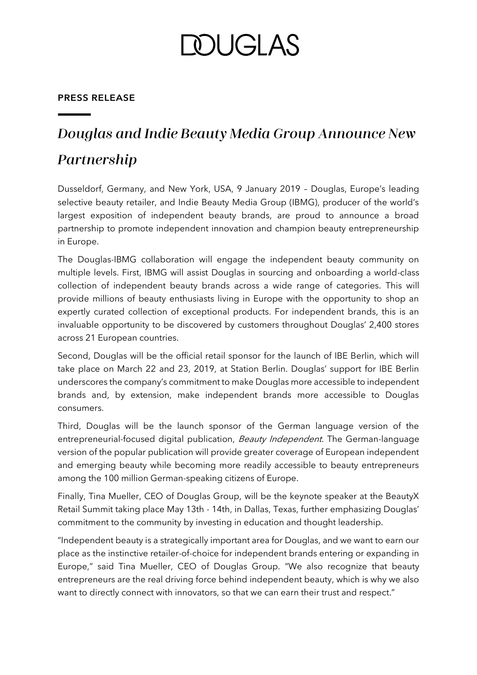# **DOUGLAS**

### **PRESS RELEASE**

## Douglas and Indie Beauty Media Group Announce New Partnership

Dusseldorf, Germany, and New York, USA, 9 January 2019 – Douglas, Europe's leading selective beauty retailer, and Indie Beauty Media Group (IBMG), producer of the world's largest exposition of independent beauty brands, are proud to announce a broad partnership to promote independent innovation and champion beauty entrepreneurship in Europe.

The Douglas-IBMG collaboration will engage the independent beauty community on multiple levels. First, IBMG will assist Douglas in sourcing and onboarding a world-class collection of independent beauty brands across a wide range of categories. This will provide millions of beauty enthusiasts living in Europe with the opportunity to shop an expertly curated collection of exceptional products. For independent brands, this is an invaluable opportunity to be discovered by customers throughout Douglas' 2,400 stores across 21 European countries.

Second, Douglas will be the official retail sponsor for the launch of IBE Berlin, which will take place on March 22 and 23, 2019, at Station Berlin. Douglas' support for IBE Berlin underscores the company's commitment to make Douglas more accessible to independent brands and, by extension, make independent brands more accessible to Douglas consumers.

Third, Douglas will be the launch sponsor of the German language version of the entrepreneurial-focused digital publication, Beauty Independent. The German-language version of the popular publication will provide greater coverage of European independent and emerging beauty while becoming more readily accessible to beauty entrepreneurs among the 100 million German-speaking citizens of Europe.

Finally, Tina Mueller, CEO of Douglas Group, will be the keynote speaker at the BeautyX Retail Summit taking place May 13th - 14th, in Dallas, Texas, further emphasizing Douglas' commitment to the community by investing in education and thought leadership.

"Independent beauty is a strategically important area for Douglas, and we want to earn our place as the instinctive retailer-of-choice for independent brands entering or expanding in Europe," said Tina Mueller, CEO of Douglas Group. "We also recognize that beauty entrepreneurs are the real driving force behind independent beauty, which is why we also want to directly connect with innovators, so that we can earn their trust and respect."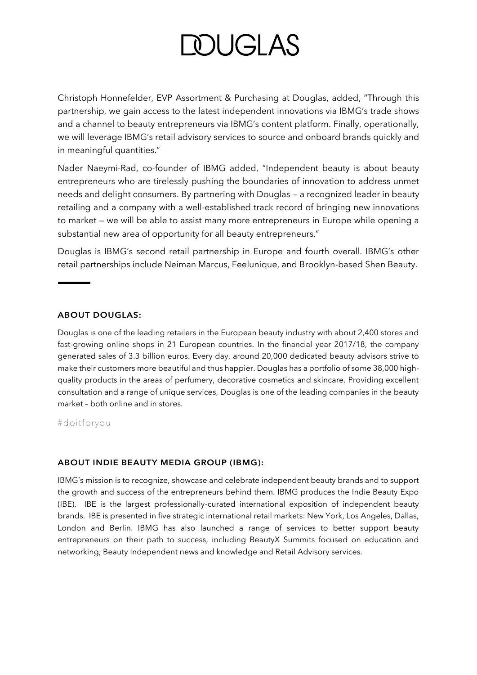# **DOUGLAS**

Christoph Honnefelder, EVP Assortment & Purchasing at Douglas, added, "Through this partnership, we gain access to the latest independent innovations via IBMG's trade shows and a channel to beauty entrepreneurs via IBMG's content platform. Finally, operationally, we will leverage IBMG's retail advisory services to source and onboard brands quickly and in meaningful quantities."

Nader Naeymi-Rad, co-founder of IBMG added, "Independent beauty is about beauty entrepreneurs who are tirelessly pushing the boundaries of innovation to address unmet needs and delight consumers. By partnering with Douglas — a recognized leader in beauty retailing and a company with a well-established track record of bringing new innovations to market — we will be able to assist many more entrepreneurs in Europe while opening a substantial new area of opportunity for all beauty entrepreneurs."

Douglas is IBMG's second retail partnership in Europe and fourth overall. IBMG's other retail partnerships include Neiman Marcus, Feelunique, and Brooklyn-based Shen Beauty.

#### **ABOUT DOUGLAS:**

Douglas is one of the leading retailers in the European beauty industry with about 2,400 stores and fast-growing online shops in 21 European countries. In the financial year 2017/18, the company generated sales of 3.3 billion euros. Every day, around 20,000 dedicated beauty advisors strive to make their customers more beautiful and thus happier. Douglas has a portfolio of some 38,000 highquality products in the areas of perfumery, decorative cosmetics and skincare. Providing excellent consultation and a range of unique services, Douglas is one of the leading companies in the beauty market – both online and in stores.

#doitforyou

#### **ABOUT INDIE BEAUTY MEDIA GROUP (IBMG):**

IBMG's mission is to recognize, showcase and celebrate independent beauty brands and to support the growth and success of the entrepreneurs behind them. IBMG produces the Indie Beauty Expo (IBE). IBE is the largest professionally-curated international exposition of independent beauty brands. IBE is presented in five strategic international retail markets: New York, Los Angeles, Dallas, London and Berlin. IBMG has also launched a range of services to better support beauty entrepreneurs on their path to success, including BeautyX Summits focused on education and networking, Beauty Independent news and knowledge and Retail Advisory services.